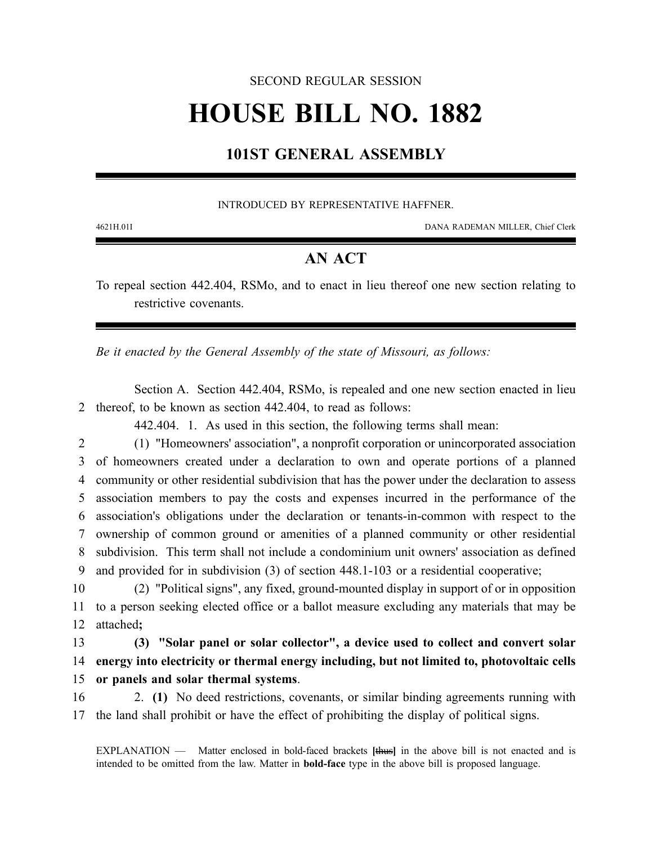### SECOND REGULAR SESSION

# **HOUSE BILL NO. 1882**

## **101ST GENERAL ASSEMBLY**

#### INTRODUCED BY REPRESENTATIVE HAFFNER.

4621H.01I DANA RADEMAN MILLER, Chief Clerk

## **AN ACT**

To repeal section 442.404, RSMo, and to enact in lieu thereof one new section relating to restrictive covenants.

*Be it enacted by the General Assembly of the state of Missouri, as follows:*

Section A. Section 442.404, RSMo, is repealed and one new section enacted in lieu 2 thereof, to be known as section 442.404, to read as follows:

442.404. 1. As used in this section, the following terms shall mean:

 (1) "Homeowners' association", a nonprofit corporation or unincorporated association of homeowners created under a declaration to own and operate portions of a planned community or other residential subdivision that has the power under the declaration to assess association members to pay the costs and expenses incurred in the performance of the association's obligations under the declaration or tenants-in-common with respect to the ownership of common ground or amenities of a planned community or other residential subdivision. This term shall not include a condominium unit owners' association as defined and provided for in subdivision (3) of section 448.1-103 or a residential cooperative;

10 (2) "Political signs", any fixed, ground-mounted display in support of or in opposition 11 to a person seeking elected office or a ballot measure excluding any materials that may be 12 attached**;**

13 **(3) "Solar panel or solar collector", a device used to collect and convert solar** 14 **energy into electricity or thermal energy including, but not limited to, photovoltaic cells** 15 **or panels and solar thermal systems**.

16 2. **(1)** No deed restrictions, covenants, or similar binding agreements running with 17 the land shall prohibit or have the effect of prohibiting the display of political signs.

EXPLANATION — Matter enclosed in bold-faced brackets **[**thus**]** in the above bill is not enacted and is intended to be omitted from the law. Matter in **bold-face** type in the above bill is proposed language.